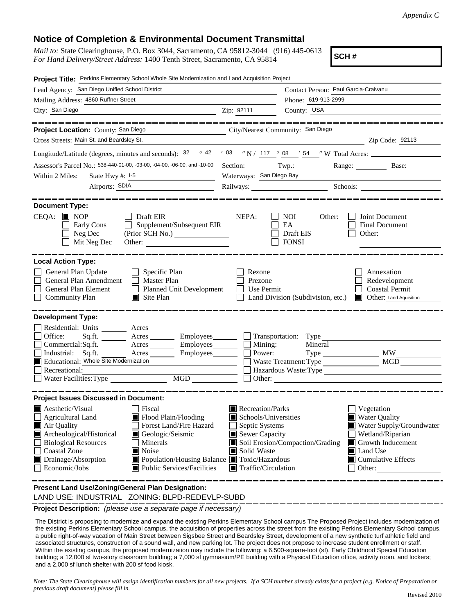## **Notice of Completion & Environmental Document Transmittal**

| <i>Mail to:</i> State Clearinghouse, P.O. Box 3044, Sacramento, CA 95812-3044 (916) 445-0613 |  |
|----------------------------------------------------------------------------------------------|--|
| For Hand Delivery/Street Address: 1400 Tenth Street, Sacramento, CA 95814                    |  |

**SCH #**

| Project Title: Perkins Elementary School Whole Site Modernization and Land Acquisition Project                                                                                                                                                                                                                                                                                                                                             |                                                                                                                                   |                                                                                                                     |                                                                                                                                                                    |
|--------------------------------------------------------------------------------------------------------------------------------------------------------------------------------------------------------------------------------------------------------------------------------------------------------------------------------------------------------------------------------------------------------------------------------------------|-----------------------------------------------------------------------------------------------------------------------------------|---------------------------------------------------------------------------------------------------------------------|--------------------------------------------------------------------------------------------------------------------------------------------------------------------|
| Lead Agency: San Diego Unified School District                                                                                                                                                                                                                                                                                                                                                                                             |                                                                                                                                   | Contact Person: Paul Garcia-Craivanu                                                                                |                                                                                                                                                                    |
| Mailing Address: 4860 Ruffner Street                                                                                                                                                                                                                                                                                                                                                                                                       |                                                                                                                                   | Phone: 619-913-2999                                                                                                 |                                                                                                                                                                    |
| City: San Diego                                                                                                                                                                                                                                                                                                                                                                                                                            | Zip: 92111                                                                                                                        | County: USA                                                                                                         |                                                                                                                                                                    |
| . __ __ __ __ __ __ __ .                                                                                                                                                                                                                                                                                                                                                                                                                   |                                                                                                                                   |                                                                                                                     | . _ _ _ _ _ _ _ _ _ _ _ _ _ _ _ _                                                                                                                                  |
| City/Nearest Community: San Diego<br>Project Location: County: San Diego                                                                                                                                                                                                                                                                                                                                                                   |                                                                                                                                   |                                                                                                                     |                                                                                                                                                                    |
| Cross Streets: Main St. and Beardsley St.                                                                                                                                                                                                                                                                                                                                                                                                  |                                                                                                                                   | <u> 1980 - Johann Barbara, martin amerikan basar dan basa dan basa dan basa dan basa dan basa dan basa dan basa</u> | Zip Code: 92113                                                                                                                                                    |
| Longitude/Latitude (degrees, minutes and seconds): $\frac{32}{2}$ $\frac{42}{103}$ $\frac{103}{101}$ N / $\frac{117}{2}$ $\frac{08}{2}$ $\frac{154}{54}$ W Total Acres:                                                                                                                                                                                                                                                                    |                                                                                                                                   |                                                                                                                     |                                                                                                                                                                    |
| Assessor's Parcel No.: 538-440-01-00, -03-00, -04-00, -06-00, and -10-00                                                                                                                                                                                                                                                                                                                                                                   |                                                                                                                                   |                                                                                                                     | Section: Twp.: Twp.: Range: Base:                                                                                                                                  |
| Within 2 Miles:<br>State Hwy $\#$ : $I-5$                                                                                                                                                                                                                                                                                                                                                                                                  | Waterways: San Diego Bay                                                                                                          |                                                                                                                     |                                                                                                                                                                    |
| Airports: SDIA<br><u> 1986 - Johann Stein, mars an Francisco III (b. 1918)</u>                                                                                                                                                                                                                                                                                                                                                             |                                                                                                                                   |                                                                                                                     | Railways: Schools: Schools: Schools: 2008.                                                                                                                         |
| <b>Document Type:</b><br>$CEQA: \blacksquare$ NOP<br>$\Box$ Draft EIR<br>$\Box$ Supplement/Subsequent EIR<br>Early Cons<br>Neg Dec<br>(Prior SCH No.)<br>Mit Neg Dec                                                                                                                                                                                                                                                                       | NEPA:                                                                                                                             | <b>NOI</b><br>Other:<br>EA<br>Draft EIS<br><b>FONSI</b>                                                             | Joint Document<br>Final Document<br>Other: $\qquad \qquad$                                                                                                         |
| <b>Local Action Type:</b><br>General Plan Update<br>$\Box$ Specific Plan<br>General Plan Amendment<br>Master Plan<br>General Plan Element<br>Planned Unit Development<br><b>Community Plan</b><br>$\Box$ Site Plan                                                                                                                                                                                                                         | Rezone<br>Prezone<br>Use Permit                                                                                                   | Land Division (Subdivision, etc.)                                                                                   | Annexation<br>Redevelopment<br><b>Coastal Permit</b><br><b>Other:</b> Land Aquisition                                                                              |
| <b>Development Type:</b><br>Residential: Units ________ Acres _______<br>Office:<br>Sq.ft. ________ Acres _________ Employees _______ __ Transportation: Type _______<br>Commercial:Sq.ft. ________ Acres ________ Employees _______ $\Box$<br>Industrial:<br>Sq.ft.<br>$\frac{\text{Acres}}{\text{Acres}}$<br>Employees________<br>Educational: Whole Site Modernization<br>Recreational:<br>Water Facilities: Type MGD                   | Mining:<br>Power:                                                                                                                 | Mineral<br>Waste Treatment: Type                                                                                    | <b>MW</b><br><b>MGD</b><br>Hazardous Waste: Type                                                                                                                   |
| <b>Project Issues Discussed in Document:</b><br>$\blacksquare$ Aesthetic/Visual<br><b>Fiscal</b><br>Agricultural Land<br>Flood Plain/Flooding<br>Forest Land/Fire Hazard<br>Air Quality<br>Archeological/Historical<br>Geologic/Seismic<br><b>Biological Resources</b><br>Minerals<br><b>Coastal Zone</b><br>Noise<br>Drainage/Absorption<br>■ Population/Housing Balance ■ Toxic/Hazardous<br>Economic/Jobs<br>Public Services/Facilities | Recreation/Parks<br>Schools/Universities<br>Septic Systems<br>Sewer Capacity<br>Solid Waste<br>$\blacksquare$ Traffic/Circulation | Soil Erosion/Compaction/Grading                                                                                     | Vegetation<br><b>Water Quality</b><br>Water Supply/Groundwater<br>Wetland/Riparian<br>Growth Inducement<br>Land Use<br>$\blacksquare$ Cumulative Effects<br>Other: |
| Present Land Use/Zoning/General Plan Designation:                                                                                                                                                                                                                                                                                                                                                                                          |                                                                                                                                   |                                                                                                                     |                                                                                                                                                                    |

LAND USE: INDUSTRIAL ZONING: BLPD-REDEVLP-SUBD

**Project Description:** *(please use a separate page if necessary)*

 The District is proposing to modernize and expand the existing Perkins Elementary School campus The Proposed Project includes modernization of the existing Perkins Elementary School campus, the acquisition of properties across the street from the existing Perkins Elementary School campus, a public right-of-way vacation of Main Street between Sigsbee Street and Beardsley Street, development of a new synthetic turf athletic field and associated structures, construction of a sound wall, and new parking lot. The project does not propose to increase student enrollment or staff. Within the existing campus, the proposed modernization may include the following: a 6,500-square-foot (sf), Early Childhood Special Education building; a 12,000 sf two-story classroom building; a 7,000 sf gymnasium/PE building with a Physical Education office, activity room, and lockers; and a 2,000 sf lunch shelter with 200 sf food kiosk.

*Note: The State Clearinghouse will assign identification numbers for all new projects. If a SCH number already exists for a project (e.g. Notice of Preparation or previous draft document) please fill in.*